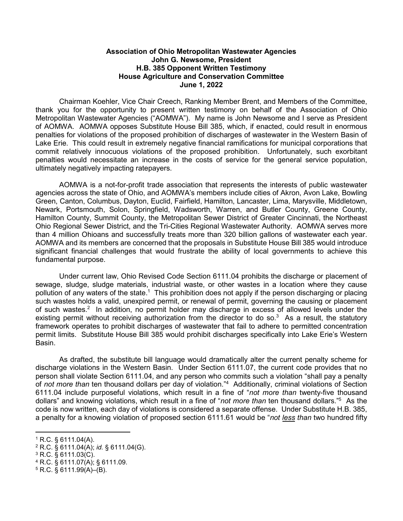## **Association of Ohio Metropolitan Wastewater Agencies John G. Newsome, President H.B. 385 Opponent Written Testimony House Agriculture and Conservation Committee June 1, 2022**

Chairman Koehler, Vice Chair Creech, Ranking Member Brent, and Members of the Committee, thank you for the opportunity to present written testimony on behalf of the Association of Ohio Metropolitan Wastewater Agencies ("AOMWA"). My name is John Newsome and I serve as President of AOMWA. AOMWA opposes Substitute House Bill 385, which, if enacted, could result in enormous penalties for violations of the proposed prohibition of discharges of wastewater in the Western Basin of Lake Erie. This could result in extremely negative financial ramifications for municipal corporations that commit relatively innocuous violations of the proposed prohibition. Unfortunately, such exorbitant penalties would necessitate an increase in the costs of service for the general service population, ultimately negatively impacting ratepayers.

AOMWA is a not-for-profit trade association that represents the interests of public wastewater agencies across the state of Ohio, and AOMWA's members include cities of Akron, Avon Lake, Bowling Green, Canton, Columbus, Dayton, Euclid, Fairfield, Hamilton, Lancaster, Lima, Marysville, Middletown, Newark, Portsmouth, Solon, Springfield, Wadsworth, Warren, and Butler County, Greene County, Hamilton County, Summit County, the Metropolitan Sewer District of Greater Cincinnati, the Northeast Ohio Regional Sewer District, and the Tri-Cities Regional Wastewater Authority. AOMWA serves more than 4 million Ohioans and successfully treats more than 320 billion gallons of wastewater each year. AOMWA and its members are concerned that the proposals in Substitute House Bill 385 would introduce significant financial challenges that would frustrate the ability of local governments to achieve this fundamental purpose.

Under current law, Ohio Revised Code Section 6111.04 prohibits the discharge or placement of sewage, sludge, sludge materials, industrial waste, or other wastes in a location where they cause pollution of any waters of the state.<sup>1</sup> This prohibition does not apply if the person discharging or placing such wastes holds a valid, unexpired permit, or renewal of permit, governing the causing or placement of such wastes.<sup>2</sup> In addition, no permit holder may discharge in excess of allowed levels under the existing permit without receiving authorization from the director to do so. $3$  As a result, the statutory framework operates to prohibit discharges of wastewater that fail to adhere to permitted concentration permit limits. Substitute House Bill 385 would prohibit discharges specifically into Lake Erie's Western Basin.

As drafted, the substitute bill language would dramatically alter the current penalty scheme for discharge violations in the Western Basin. Under Section 6111.07, the current code provides that no person shall violate Section 6111.04, and any person who commits such a violation "shall pay a penalty of *not more than* ten thousand dollars per day of violation."4 Additionally, criminal violations of Section 6111.04 include purposeful violations, which result in a fine of "*not more than* twenty-five thousand dollars" and knowing violations, which result in a fine of "*not more than* ten thousand dollars."5 As the code is now written, each day of violations is considered a separate offense. Under Substitute H.B. 385, a penalty for a knowing violation of proposed section 6111.61 would be "*not less than* two hundred fifty

 $1 R.C.$  § 6111.04(A).

<sup>2</sup> R.C. § 6111.04(A); *id.* § 6111.04(G).

<sup>3</sup> R.C. § 6111.03(C).

<sup>4</sup> R.C. § 6111.07(A); § 6111.09.

 $5 R.C. \S$  6111.99(A)–(B).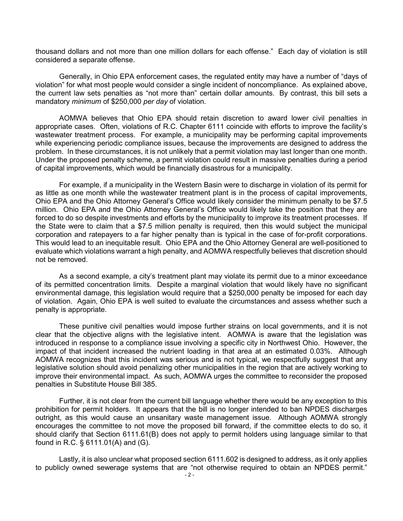thousand dollars and not more than one million dollars for each offense." Each day of violation is still considered a separate offense.

Generally, in Ohio EPA enforcement cases, the regulated entity may have a number of "days of violation" for what most people would consider a single incident of noncompliance. As explained above, the current law sets penalties as "not more than" certain dollar amounts. By contrast, this bill sets a mandatory *minimum* of \$250,000 *per day* of violation.

AOMWA believes that Ohio EPA should retain discretion to award lower civil penalties in appropriate cases. Often, violations of R.C. Chapter 6111 coincide with efforts to improve the facility's wastewater treatment process. For example, a municipality may be performing capital improvements while experiencing periodic compliance issues, because the improvements are designed to address the problem. In these circumstances, it is not unlikely that a permit violation may last longer than one month. Under the proposed penalty scheme, a permit violation could result in massive penalties during a period of capital improvements, which would be financially disastrous for a municipality.

For example, if a municipality in the Western Basin were to discharge in violation of its permit for as little as one month while the wastewater treatment plant is in the process of capital improvements, Ohio EPA and the Ohio Attorney General's Office would likely consider the minimum penalty to be \$7.5 million. Ohio EPA and the Ohio Attorney General's Office would likely take the position that they are forced to do so despite investments and efforts by the municipality to improve its treatment processes. If the State were to claim that a \$7.5 million penalty is required, then this would subject the municipal corporation and ratepayers to a far higher penalty than is typical in the case of for-profit corporations. This would lead to an inequitable result. Ohio EPA and the Ohio Attorney General are well-positioned to evaluate which violations warrant a high penalty, and AOMWA respectfully believes that discretion should not be removed.

As a second example, a city's treatment plant may violate its permit due to a minor exceedance of its permitted concentration limits. Despite a marginal violation that would likely have no significant environmental damage, this legislation would require that a \$250,000 penalty be imposed for each day of violation. Again, Ohio EPA is well suited to evaluate the circumstances and assess whether such a penalty is appropriate.

These punitive civil penalties would impose further strains on local governments, and it is not clear that the objective aligns with the legislative intent. AOMWA is aware that the legislation was introduced in response to a compliance issue involving a specific city in Northwest Ohio. However, the impact of that incident increased the nutrient loading in that area at an estimated 0.03%. Although AOMWA recognizes that this incident was serious and is not typical, we respectfully suggest that any legislative solution should avoid penalizing other municipalities in the region that are actively working to improve their environmental impact. As such, AOMWA urges the committee to reconsider the proposed penalties in Substitute House Bill 385.

Further, it is not clear from the current bill language whether there would be any exception to this prohibition for permit holders. It appears that the bill is no longer intended to ban NPDES discharges outright, as this would cause an unsanitary waste management issue. Although AOMWA strongly encourages the committee to not move the proposed bill forward, if the committee elects to do so, it should clarify that Section 6111.61(B) does not apply to permit holders using language similar to that found in R.C. § 6111.01(A) and (G).

Lastly, it is also unclear what proposed section 6111.602 is designed to address, as it only applies to publicly owned sewerage systems that are "not otherwise required to obtain an NPDES permit."